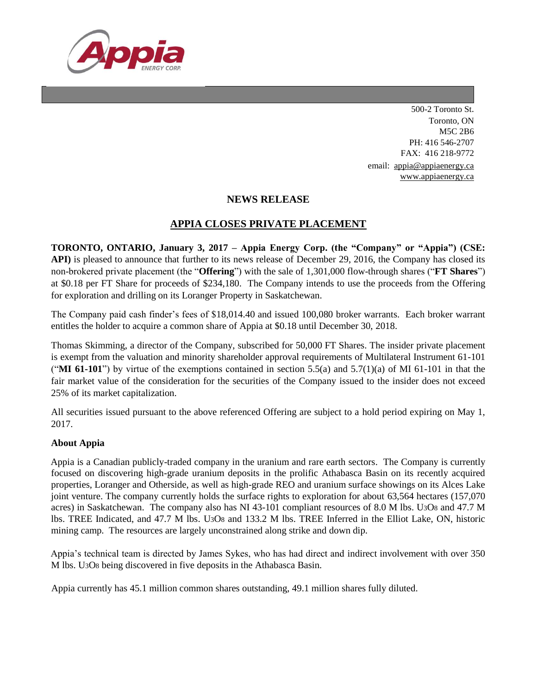

500-2 Toronto St. Toronto, ON M5C 2B6 PH: 416 546-2707 FAX: 416 218-9772 email: [appia@appiaenergy.ca](mailto:appia@appiaenergy.ca) [www.appiaenergy.ca](http://www.appiaenergy.ca/)

## **NEWS RELEASE**

## **APPIA CLOSES PRIVATE PLACEMENT**

**TORONTO, ONTARIO, January 3, 2017 – Appia Energy Corp. (the "Company" or "Appia") (CSE: API)** is pleased to announce that further to its news release of December 29, 2016, the Company has closed its non-brokered private placement (the "**Offering**") with the sale of 1,301,000 flow-through shares ("**FT Shares**") at \$0.18 per FT Share for proceeds of \$234,180. The Company intends to use the proceeds from the Offering for exploration and drilling on its Loranger Property in Saskatchewan.

The Company paid cash finder's fees of \$18,014.40 and issued 100,080 broker warrants. Each broker warrant entitles the holder to acquire a common share of Appia at \$0.18 until December 30, 2018.

Thomas Skimming, a director of the Company, subscribed for 50,000 FT Shares. The insider private placement is exempt from the valuation and minority shareholder approval requirements of Multilateral Instrument 61-101 ("**MI 61-101**") by virtue of the exemptions contained in section 5.5(a) and 5.7(1)(a) of MI 61-101 in that the fair market value of the consideration for the securities of the Company issued to the insider does not exceed 25% of its market capitalization.

All securities issued pursuant to the above referenced Offering are subject to a hold period expiring on May 1, 2017.

## **About Appia**

Appia is a Canadian publicly-traded company in the uranium and rare earth sectors. The Company is currently focused on discovering high-grade uranium deposits in the prolific Athabasca Basin on its recently acquired properties, Loranger and Otherside, as well as high-grade REO and uranium surface showings on its Alces Lake joint venture. The company currently holds the surface rights to exploration for about 63,564 hectares (157,070 acres) in Saskatchewan. The company also has NI 43-101 compliant resources of 8.0 M lbs. U3O8 and 47.7 M lbs. TREE Indicated, and 47.7 M lbs. U3O8 and 133.2 M lbs. TREE Inferred in the Elliot Lake, ON, historic mining camp. The resources are largely unconstrained along strike and down dip.

Appia's technical team is directed by James Sykes, who has had direct and indirect involvement with over 350 M lbs. U3O8 being discovered in five deposits in the Athabasca Basin.

Appia currently has 45.1 million common shares outstanding, 49.1 million shares fully diluted.